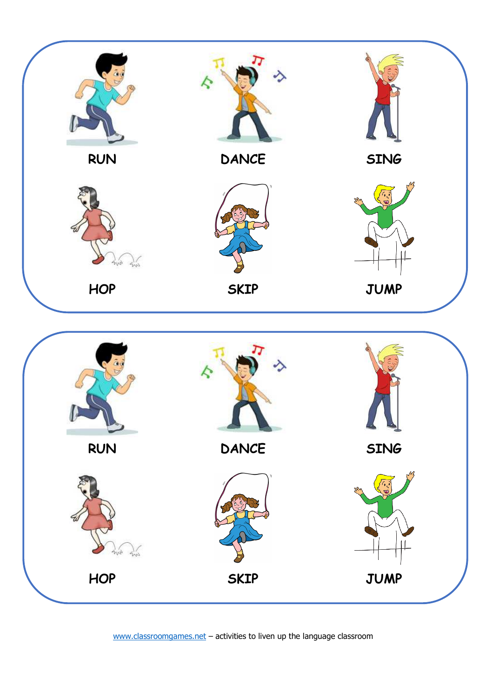

**RUN DANCE SING**  $\hat{e}_V$  $4m$ **HOP SKIP JUMP** 

www.classroomgames.net – activities to liven up the language classroom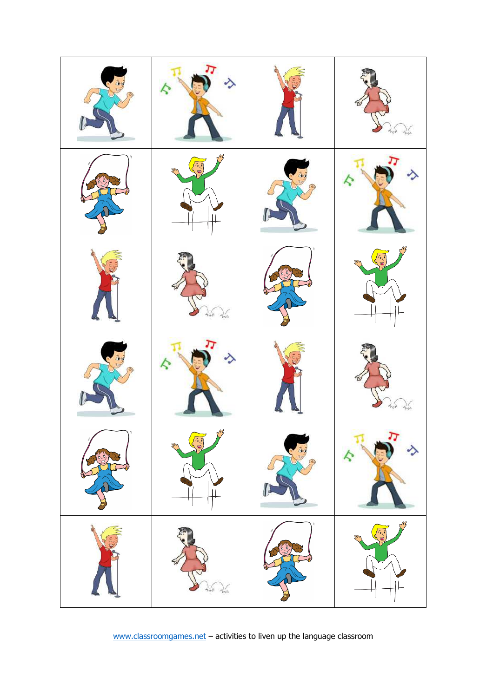

www.classroomgames.net – activities to liven up the language classroom